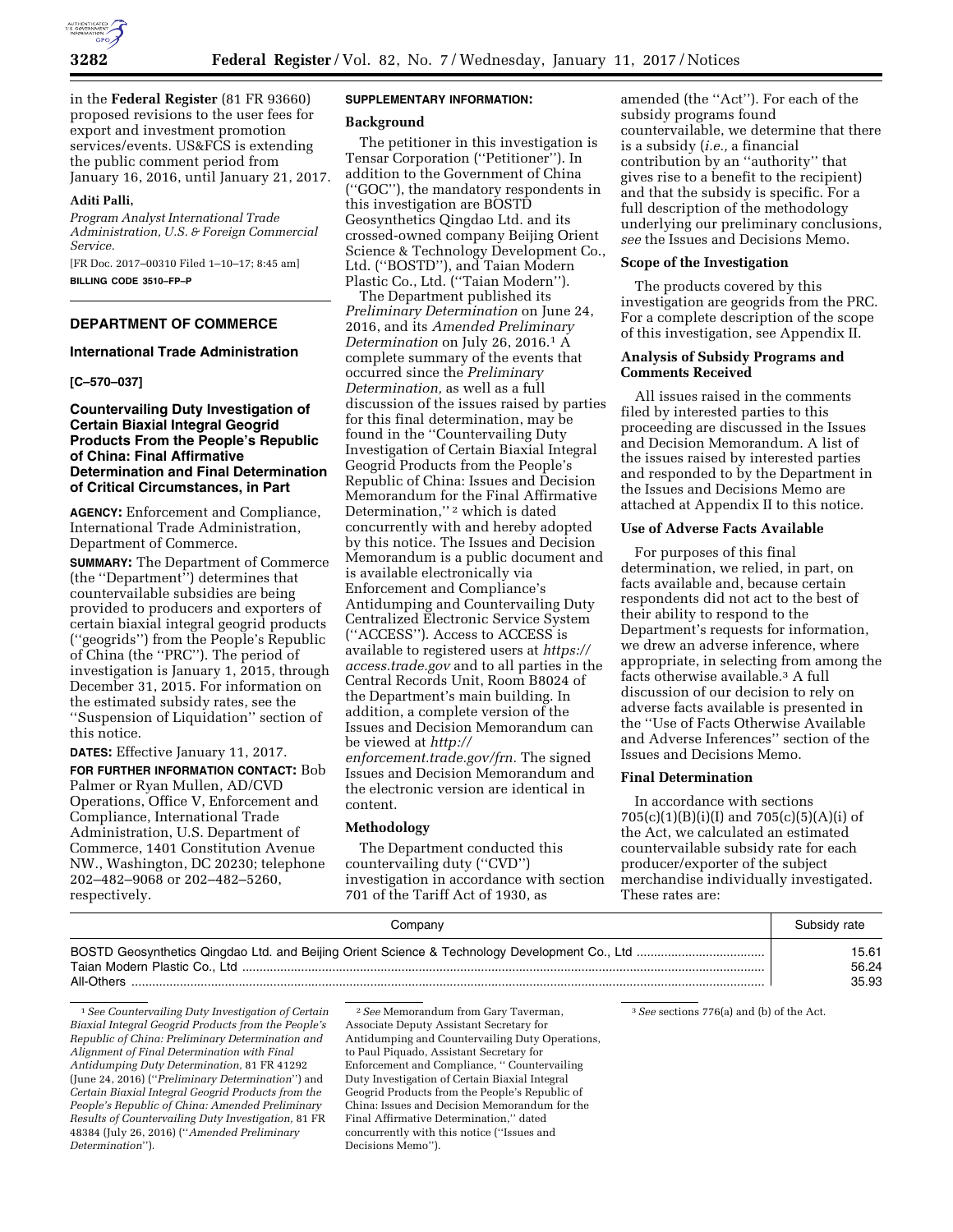

in the **Federal Register** (81 FR 93660) proposed revisions to the user fees for export and investment promotion services/events. US&FCS is extending the public comment period from January 16, 2016, until January 21, 2017.

#### **Aditi Palli,**

*Program Analyst International Trade Administration, U.S. & Foreign Commercial Service.* 

[FR Doc. 2017–00310 Filed 1–10–17; 8:45 am] **BILLING CODE 3510–FP–P** 

# **DEPARTMENT OF COMMERCE**

#### **International Trade Administration**

# **[C–570–037]**

# **Countervailing Duty Investigation of Certain Biaxial Integral Geogrid Products From the People's Republic of China: Final Affirmative Determination and Final Determination of Critical Circumstances, in Part**

**AGENCY:** Enforcement and Compliance, International Trade Administration, Department of Commerce.

**SUMMARY:** The Department of Commerce (the ''Department'') determines that countervailable subsidies are being provided to producers and exporters of certain biaxial integral geogrid products (''geogrids'') from the People's Republic of China (the ''PRC''). The period of investigation is January 1, 2015, through December 31, 2015. For information on the estimated subsidy rates, see the ''Suspension of Liquidation'' section of this notice.

**DATES:** Effective January 11, 2017. **FOR FURTHER INFORMATION CONTACT:** Bob Palmer or Ryan Mullen, AD/CVD Operations, Office V, Enforcement and Compliance, International Trade Administration, U.S. Department of Commerce, 1401 Constitution Avenue NW., Washington, DC 20230; telephone 202–482–9068 or 202–482–5260, respectively.

#### **SUPPLEMENTARY INFORMATION:**

### **Background**

The petitioner in this investigation is Tensar Corporation (''Petitioner''). In addition to the Government of China (''GOC''), the mandatory respondents in this investigation are BOSTD Geosynthetics Qingdao Ltd. and its crossed-owned company Beijing Orient Science & Technology Development Co., Ltd. (''BOSTD''), and Taian Modern Plastic Co., Ltd. (''Taian Modern'').

The Department published its *Preliminary Determination* on June 24, 2016, and its *Amended Preliminary Determination* on July 26, 2016.1 A complete summary of the events that occurred since the *Preliminary Determination,* as well as a full discussion of the issues raised by parties for this final determination, may be found in the ''Countervailing Duty Investigation of Certain Biaxial Integral Geogrid Products from the People's Republic of China: Issues and Decision Memorandum for the Final Affirmative Determination,"<sup>2</sup> which is dated concurrently with and hereby adopted by this notice. The Issues and Decision Memorandum is a public document and is available electronically via Enforcement and Compliance's Antidumping and Countervailing Duty Centralized Electronic Service System (''ACCESS''). Access to ACCESS is available to registered users at *[https://](https://access.trade.gov) [access.trade.gov](https://access.trade.gov)* and to all parties in the Central Records Unit, Room B8024 of the Department's main building. In addition, a complete version of the Issues and Decision Memorandum can be viewed at *[http://](http://enforcement.trade.gov/frn) [enforcement.trade.gov/frn.](http://enforcement.trade.gov/frn)* The signed Issues and Decision Memorandum and

the electronic version are identical in content.

# **Methodology**

The Department conducted this countervailing duty (''CVD'') investigation in accordance with section 701 of the Tariff Act of 1930, as

amended (the ''Act''). For each of the subsidy programs found countervailable, we determine that there is a subsidy (*i.e.,* a financial contribution by an ''authority'' that gives rise to a benefit to the recipient) and that the subsidy is specific. For a full description of the methodology underlying our preliminary conclusions, *see* the Issues and Decisions Memo.

# **Scope of the Investigation**

The products covered by this investigation are geogrids from the PRC. For a complete description of the scope of this investigation, see Appendix II.

# **Analysis of Subsidy Programs and Comments Received**

All issues raised in the comments filed by interested parties to this proceeding are discussed in the Issues and Decision Memorandum. A list of the issues raised by interested parties and responded to by the Department in the Issues and Decisions Memo are attached at Appendix II to this notice.

## **Use of Adverse Facts Available**

For purposes of this final determination, we relied, in part, on facts available and, because certain respondents did not act to the best of their ability to respond to the Department's requests for information, we drew an adverse inference, where appropriate, in selecting from among the facts otherwise available.3 A full discussion of our decision to rely on adverse facts available is presented in the ''Use of Facts Otherwise Available and Adverse Inferences'' section of the Issues and Decisions Memo.

### **Final Determination**

In accordance with sections 705(c)(1)(B)(i)(I) and 705(c)(5)(A)(i) of the Act, we calculated an estimated countervailable subsidy rate for each producer/exporter of the subject merchandise individually investigated. These rates are:

| Company    | Subsidy rate |
|------------|--------------|
|            | 15.61        |
|            | 56.24        |
| All-Others | 35.93        |

1*See Countervailing Duty Investigation of Certain Biaxial Integral Geogrid Products from the People's Republic of China: Preliminary Determination and Alignment of Final Determination with Final Antidumping Duty Determination,* 81 FR 41292 (June 24, 2016) (''*Preliminary Determination*'') and *Certain Biaxial Integral Geogrid Products from the People's Republic of China: Amended Preliminary Results of Countervailing Duty Investigation,* 81 FR 48384 (July 26, 2016) (''*Amended Preliminary Determination*'').

2*See* Memorandum from Gary Taverman, Associate Deputy Assistant Secretary for Antidumping and Countervailing Duty Operations, to Paul Piquado, Assistant Secretary for Enforcement and Compliance, '' Countervailing Duty Investigation of Certain Biaxial Integral Geogrid Products from the People's Republic of China: Issues and Decision Memorandum for the Final Affirmative Determination,'' dated concurrently with this notice (''Issues and Decisions Memo'').

3*See* sections 776(a) and (b) of the Act.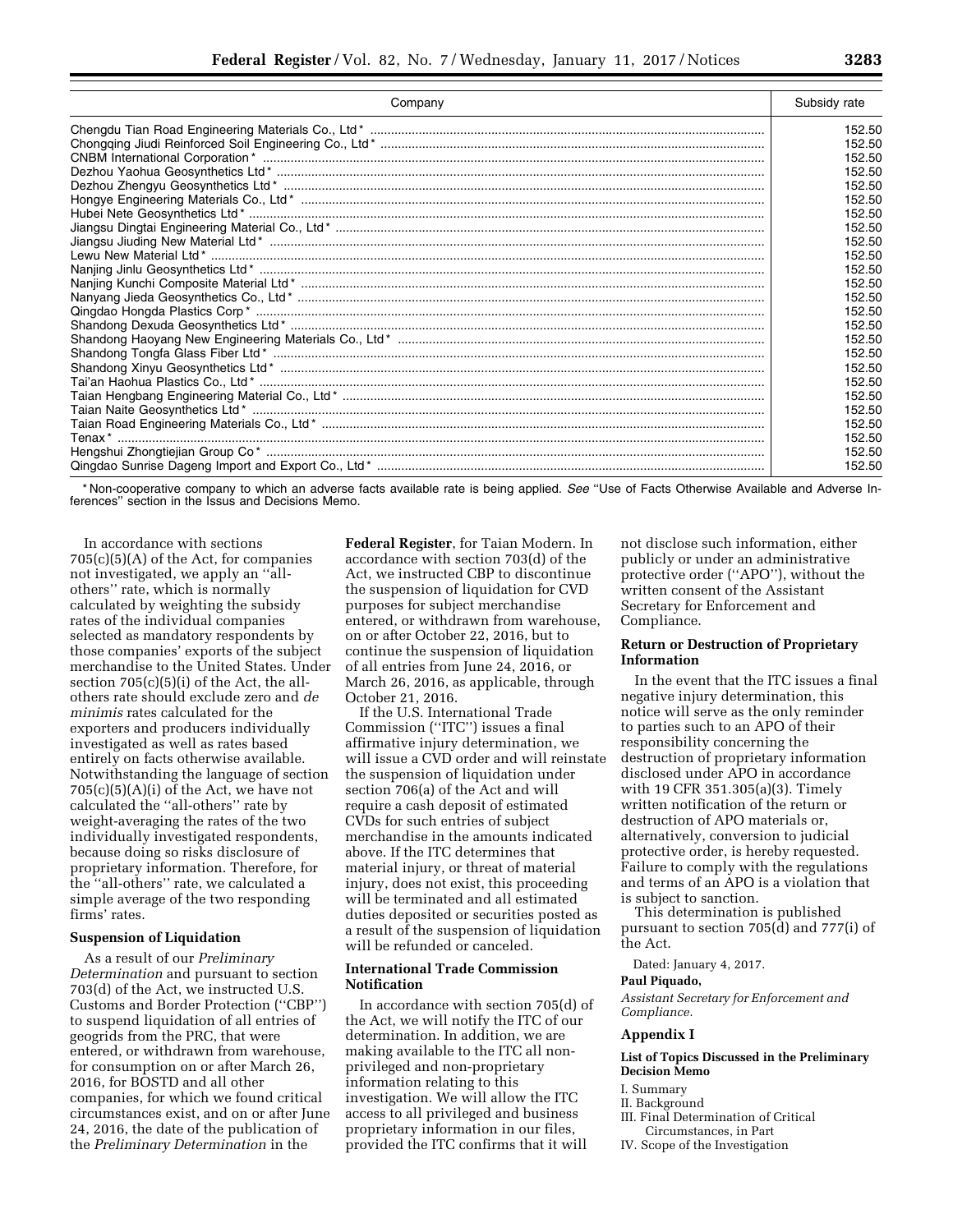| Company | Subsidy rate |
|---------|--------------|
|         | 152.50       |
|         | 152.50       |
|         | 152.50       |
|         | 152.50       |
|         | 152.50       |
|         | 152.50       |
|         | 152.50       |
|         | 152.50       |
|         | 152.50       |
|         | 152.50       |
|         | 152.50       |
|         | 152.50       |
|         | 152.50       |
|         | 152.50       |
|         | 152.50       |
|         | 152.50       |
|         | 152.50       |
|         | 152.50       |
|         | 152.50       |
|         | 152.50       |
|         | 152.50       |
|         | 152.50       |
|         | 152.50       |
|         | 152.50       |
|         | 152.50       |

\* Non-cooperative company to which an adverse facts available rate is being applied. *See* ''Use of Facts Otherwise Available and Adverse Inferences'' section in the Issus and Decisions Memo.

In accordance with sections  $705(c)(5)(A)$  of the Act, for companies not investigated, we apply an ''allothers'' rate, which is normally calculated by weighting the subsidy rates of the individual companies selected as mandatory respondents by those companies' exports of the subject merchandise to the United States. Under section 705(c)(5)(i) of the Act, the allothers rate should exclude zero and *de minimis* rates calculated for the exporters and producers individually investigated as well as rates based entirely on facts otherwise available. Notwithstanding the language of section  $705(c)(5)(A)(i)$  of the Act, we have not calculated the ''all-others'' rate by weight-averaging the rates of the two individually investigated respondents, because doing so risks disclosure of proprietary information. Therefore, for the ''all-others'' rate, we calculated a simple average of the two responding firms' rates.

# **Suspension of Liquidation**

As a result of our *Preliminary Determination* and pursuant to section 703(d) of the Act, we instructed U.S. Customs and Border Protection (''CBP'') to suspend liquidation of all entries of geogrids from the PRC, that were entered, or withdrawn from warehouse, for consumption on or after March 26, 2016, for BOSTD and all other companies, for which we found critical circumstances exist, and on or after June 24, 2016, the date of the publication of the *Preliminary Determination* in the

**Federal Register**, for Taian Modern. In accordance with section 703(d) of the Act, we instructed CBP to discontinue the suspension of liquidation for CVD purposes for subject merchandise entered, or withdrawn from warehouse, on or after October 22, 2016, but to continue the suspension of liquidation of all entries from June 24, 2016, or March 26, 2016, as applicable, through October 21, 2016.

If the U.S. International Trade Commission (''ITC'') issues a final affirmative injury determination, we will issue a CVD order and will reinstate the suspension of liquidation under section 706(a) of the Act and will require a cash deposit of estimated CVDs for such entries of subject merchandise in the amounts indicated above. If the ITC determines that material injury, or threat of material injury, does not exist, this proceeding will be terminated and all estimated duties deposited or securities posted as a result of the suspension of liquidation will be refunded or canceled.

# **International Trade Commission Notification**

In accordance with section 705(d) of the Act, we will notify the ITC of our determination. In addition, we are making available to the ITC all nonprivileged and non-proprietary information relating to this investigation. We will allow the ITC access to all privileged and business proprietary information in our files, provided the ITC confirms that it will

not disclose such information, either publicly or under an administrative protective order (''APO''), without the written consent of the Assistant Secretary for Enforcement and Compliance.

## **Return or Destruction of Proprietary Information**

In the event that the ITC issues a final negative injury determination, this notice will serve as the only reminder to parties such to an APO of their responsibility concerning the destruction of proprietary information disclosed under APO in accordance with 19 CFR 351.305(a)(3). Timely written notification of the return or destruction of APO materials or, alternatively, conversion to judicial protective order, is hereby requested. Failure to comply with the regulations and terms of an APO is a violation that is subject to sanction.

This determination is published pursuant to section 705(d) and 777(i) of the Act.

Dated: January 4, 2017.

# **Paul Piquado,**

*Assistant Secretary for Enforcement and Compliance.* 

# **Appendix I**

#### **List of Topics Discussed in the Preliminary Decision Memo**

- I. Summary
- II. Background
- III. Final Determination of Critical Circumstances, in Part
- IV. Scope of the Investigation